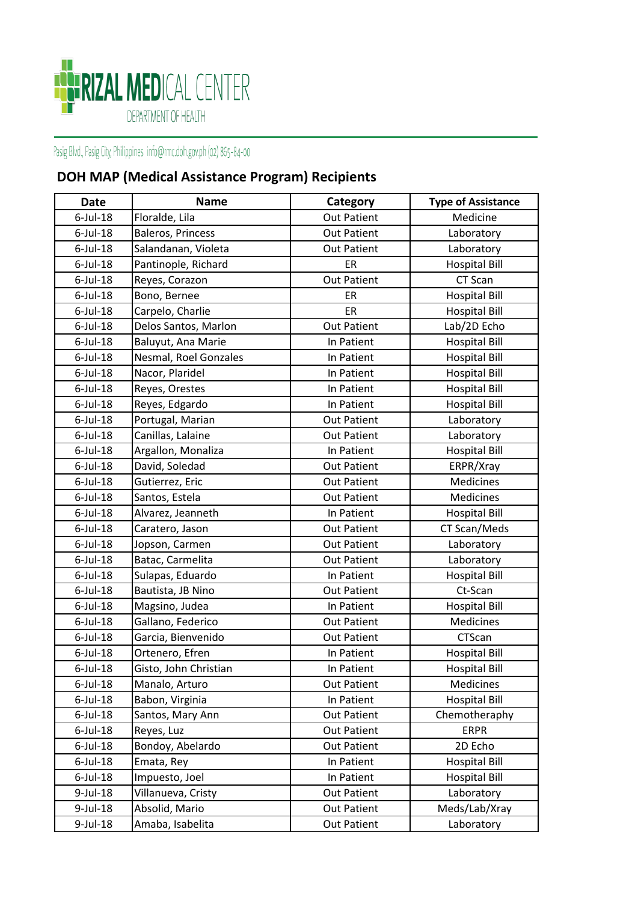

## Pasig Blvd., Pasig City, Philippines info@rmc.doh.gov.ph (02) 865-84-00

## **DOH MAP (Medical Assistance Program) Recipients**

| <b>Date</b> | <b>Name</b>           | Category           | <b>Type of Assistance</b> |
|-------------|-----------------------|--------------------|---------------------------|
| $6$ -Jul-18 | Floralde, Lila        | <b>Out Patient</b> | Medicine                  |
| $6$ -Jul-18 | Baleros, Princess     | <b>Out Patient</b> | Laboratory                |
| $6$ -Jul-18 | Salandanan, Violeta   | <b>Out Patient</b> | Laboratory                |
| $6$ -Jul-18 | Pantinople, Richard   | ER                 | <b>Hospital Bill</b>      |
| $6$ -Jul-18 | Reyes, Corazon        | <b>Out Patient</b> | CT Scan                   |
| $6$ -Jul-18 | Bono, Bernee          | ER                 | <b>Hospital Bill</b>      |
| $6$ -Jul-18 | Carpelo, Charlie      | ER                 | <b>Hospital Bill</b>      |
| $6$ -Jul-18 | Delos Santos, Marlon  | <b>Out Patient</b> | Lab/2D Echo               |
| $6$ -Jul-18 | Baluyut, Ana Marie    | In Patient         | <b>Hospital Bill</b>      |
| $6$ -Jul-18 | Nesmal, Roel Gonzales | In Patient         | <b>Hospital Bill</b>      |
| $6$ -Jul-18 | Nacor, Plaridel       | In Patient         | <b>Hospital Bill</b>      |
| $6$ -Jul-18 | Reyes, Orestes        | In Patient         | <b>Hospital Bill</b>      |
| $6$ -Jul-18 | Reyes, Edgardo        | In Patient         | <b>Hospital Bill</b>      |
| $6$ -Jul-18 | Portugal, Marian      | <b>Out Patient</b> | Laboratory                |
| $6$ -Jul-18 | Canillas, Lalaine     | <b>Out Patient</b> | Laboratory                |
| $6$ -Jul-18 | Argallon, Monaliza    | In Patient         | <b>Hospital Bill</b>      |
| $6$ -Jul-18 | David, Soledad        | <b>Out Patient</b> | ERPR/Xray                 |
| $6$ -Jul-18 | Gutierrez, Eric       | <b>Out Patient</b> | Medicines                 |
| $6$ -Jul-18 | Santos, Estela        | <b>Out Patient</b> | Medicines                 |
| $6$ -Jul-18 | Alvarez, Jeanneth     | In Patient         | <b>Hospital Bill</b>      |
| $6$ -Jul-18 | Caratero, Jason       | <b>Out Patient</b> | CT Scan/Meds              |
| $6$ -Jul-18 | Jopson, Carmen        | <b>Out Patient</b> | Laboratory                |
| $6$ -Jul-18 | Batac, Carmelita      | <b>Out Patient</b> | Laboratory                |
| $6$ -Jul-18 | Sulapas, Eduardo      | In Patient         | <b>Hospital Bill</b>      |
| $6$ -Jul-18 | Bautista, JB Nino     | <b>Out Patient</b> | Ct-Scan                   |
| $6$ -Jul-18 | Magsino, Judea        | In Patient         | <b>Hospital Bill</b>      |
| $6$ -Jul-18 | Gallano, Federico     | <b>Out Patient</b> | Medicines                 |
| $6$ -Jul-18 | Garcia, Bienvenido    | <b>Out Patient</b> | CTScan                    |
| $6$ -Jul-18 | Ortenero, Efren       | In Patient         | <b>Hospital Bill</b>      |
| $6$ -Jul-18 | Gisto, John Christian | In Patient         | <b>Hospital Bill</b>      |
| $6$ -Jul-18 | Manalo, Arturo        | <b>Out Patient</b> | Medicines                 |
| $6$ -Jul-18 | Babon, Virginia       | In Patient         | <b>Hospital Bill</b>      |
| $6$ -Jul-18 | Santos, Mary Ann      | <b>Out Patient</b> | Chemotheraphy             |
| $6$ -Jul-18 | Reyes, Luz            | <b>Out Patient</b> | <b>ERPR</b>               |
| $6$ -Jul-18 | Bondoy, Abelardo      | <b>Out Patient</b> | 2D Echo                   |
| $6$ -Jul-18 | Emata, Rey            | In Patient         | <b>Hospital Bill</b>      |
| $6$ -Jul-18 | Impuesto, Joel        | In Patient         | <b>Hospital Bill</b>      |
| 9-Jul-18    | Villanueva, Cristy    | <b>Out Patient</b> | Laboratory                |
| 9-Jul-18    | Absolid, Mario        | <b>Out Patient</b> | Meds/Lab/Xray             |
| 9-Jul-18    | Amaba, Isabelita      | <b>Out Patient</b> | Laboratory                |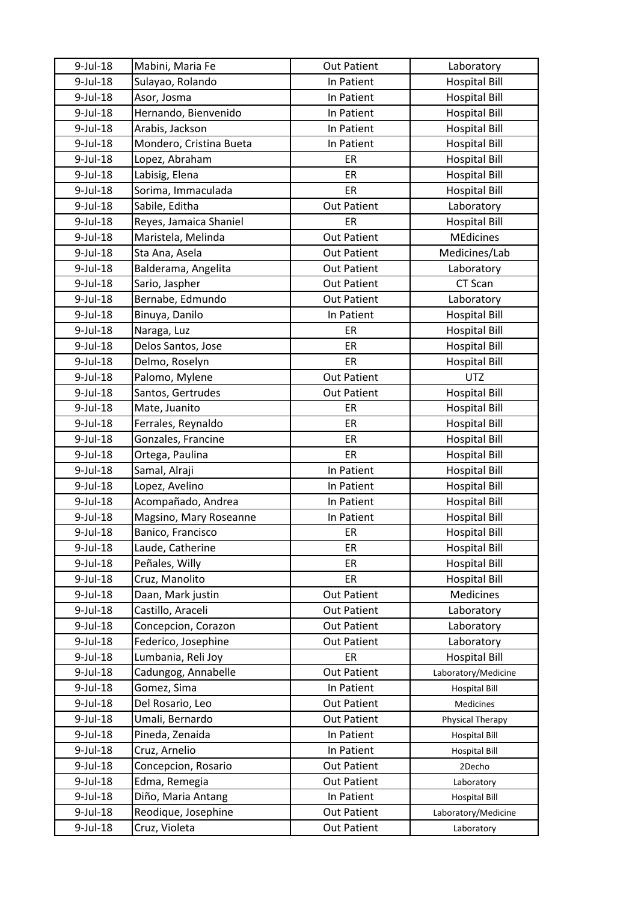| $9$ -Jul-18             | Mabini, Maria Fe        | <b>Out Patient</b> | Laboratory           |
|-------------------------|-------------------------|--------------------|----------------------|
| 9-Jul-18                | Sulayao, Rolando        | In Patient         | <b>Hospital Bill</b> |
| 9-Jul-18                | Asor, Josma             | In Patient         | <b>Hospital Bill</b> |
| $9$ -Jul-18             | Hernando, Bienvenido    | In Patient         | <b>Hospital Bill</b> |
| 9-Jul-18                | Arabis, Jackson         | In Patient         | <b>Hospital Bill</b> |
| $9$ -Jul-18             | Mondero, Cristina Bueta | In Patient         | <b>Hospital Bill</b> |
| 9-Jul-18                | Lopez, Abraham          | ER                 | <b>Hospital Bill</b> |
| 9-Jul-18                | Labisig, Elena          | ER                 | <b>Hospital Bill</b> |
| 9-Jul-18                | Sorima, Immaculada      | ER                 | <b>Hospital Bill</b> |
| 9-Jul-18                | Sabile, Editha          | <b>Out Patient</b> | Laboratory           |
| $9$ -Jul-18             | Reyes, Jamaica Shaniel  | ER                 | <b>Hospital Bill</b> |
| 9-Jul-18                | Maristela, Melinda      | <b>Out Patient</b> | <b>MEdicines</b>     |
| 9-Jul-18                | Sta Ana, Asela          | <b>Out Patient</b> | Medicines/Lab        |
| 9-Jul-18                | Balderama, Angelita     | <b>Out Patient</b> | Laboratory           |
| $9$ -Jul-18             | Sario, Jaspher          | <b>Out Patient</b> | CT Scan              |
| 9-Jul-18                | Bernabe, Edmundo        | <b>Out Patient</b> | Laboratory           |
| 9-Jul-18                | Binuya, Danilo          | In Patient         | <b>Hospital Bill</b> |
| $9$ -Jul-18             | Naraga, Luz             | ER                 | <b>Hospital Bill</b> |
| 9-Jul-18                | Delos Santos, Jose      | ER                 | <b>Hospital Bill</b> |
| 9-Jul-18                | Delmo, Roselyn          | ER                 | <b>Hospital Bill</b> |
| 9-Jul-18                | Palomo, Mylene          | <b>Out Patient</b> | <b>UTZ</b>           |
| 9-Jul-18                | Santos, Gertrudes       | <b>Out Patient</b> | <b>Hospital Bill</b> |
| 9-Jul-18                | Mate, Juanito           | ER                 | <b>Hospital Bill</b> |
| 9-Jul-18                | Ferrales, Reynaldo      | ER                 | <b>Hospital Bill</b> |
| 9-Jul-18                | Gonzales, Francine      | ER                 | <b>Hospital Bill</b> |
| 9-Jul-18                | Ortega, Paulina         | ER                 | <b>Hospital Bill</b> |
| 9-Jul-18                | Samal, Alraji           | In Patient         | <b>Hospital Bill</b> |
| 9-Jul-18                | Lopez, Avelino          | In Patient         | <b>Hospital Bill</b> |
| 9-Jul-18                | Acompañado, Andrea      | In Patient         | <b>Hospital Bill</b> |
|                         | Magsino, Mary Roseanne  | In Patient         |                      |
| $9$ -Jul-18<br>9-Jul-18 | Banico, Francisco       | ER                 | <b>Hospital Bill</b> |
|                         |                         |                    | <b>Hospital Bill</b> |
| 9-Jul-18                | Laude, Catherine        | ER                 | <b>Hospital Bill</b> |
| 9-Jul-18                | Peñales, Willy          | ER                 | <b>Hospital Bill</b> |
| 9-Jul-18                | Cruz, Manolito          | ER                 | <b>Hospital Bill</b> |
| 9-Jul-18                | Daan, Mark justin       | <b>Out Patient</b> | Medicines            |
| 9-Jul-18                | Castillo, Araceli       | <b>Out Patient</b> | Laboratory           |
| $9$ -Jul-18             | Concepcion, Corazon     | <b>Out Patient</b> | Laboratory           |
| 9-Jul-18                | Federico, Josephine     | <b>Out Patient</b> | Laboratory           |
| 9-Jul-18                | Lumbania, Reli Joy      | ER                 | <b>Hospital Bill</b> |
| 9-Jul-18                | Cadungog, Annabelle     | <b>Out Patient</b> | Laboratory/Medicine  |
| 9-Jul-18                | Gomez, Sima             | In Patient         | <b>Hospital Bill</b> |
| 9-Jul-18                | Del Rosario, Leo        | <b>Out Patient</b> | Medicines            |
| 9-Jul-18                | Umali, Bernardo         | <b>Out Patient</b> | Physical Therapy     |
| 9-Jul-18                | Pineda, Zenaida         | In Patient         | <b>Hospital Bill</b> |
| 9-Jul-18                | Cruz, Arnelio           | In Patient         | <b>Hospital Bill</b> |
| 9-Jul-18                | Concepcion, Rosario     | <b>Out Patient</b> | 2Decho               |
| 9-Jul-18                | Edma, Remegia           | <b>Out Patient</b> | Laboratory           |
| 9-Jul-18                | Diño, Maria Antang      | In Patient         | <b>Hospital Bill</b> |
| 9-Jul-18                | Reodique, Josephine     | <b>Out Patient</b> | Laboratory/Medicine  |
| 9-Jul-18                | Cruz, Violeta           | <b>Out Patient</b> | Laboratory           |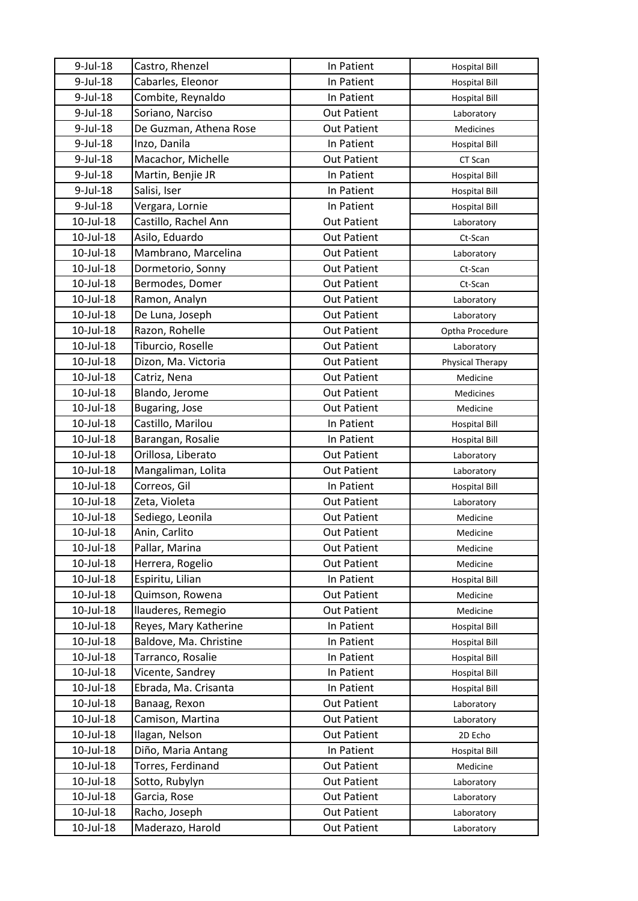| $9$ -Jul-18     | Castro, Rhenzel        | In Patient         | <b>Hospital Bill</b> |
|-----------------|------------------------|--------------------|----------------------|
| 9-Jul-18        | Cabarles, Eleonor      | In Patient         | <b>Hospital Bill</b> |
| 9-Jul-18        | Combite, Reynaldo      | In Patient         | <b>Hospital Bill</b> |
| $9$ -Jul-18     | Soriano, Narciso       | <b>Out Patient</b> | Laboratory           |
| 9-Jul-18        | De Guzman, Athena Rose | <b>Out Patient</b> | Medicines            |
| $9$ -Jul-18     | Inzo, Danila           | In Patient         | <b>Hospital Bill</b> |
| 9-Jul-18        | Macachor, Michelle     | <b>Out Patient</b> | CT Scan              |
| 9-Jul-18        | Martin, Benjie JR      | In Patient         | <b>Hospital Bill</b> |
| 9-Jul-18        | Salisi, Iser           | In Patient         | <b>Hospital Bill</b> |
| 9-Jul-18        | Vergara, Lornie        | In Patient         | <b>Hospital Bill</b> |
| 10-Jul-18       | Castillo, Rachel Ann   | <b>Out Patient</b> | Laboratory           |
| 10-Jul-18       | Asilo, Eduardo         | <b>Out Patient</b> | Ct-Scan              |
| 10-Jul-18       | Mambrano, Marcelina    | <b>Out Patient</b> | Laboratory           |
| 10-Jul-18       | Dormetorio, Sonny      | <b>Out Patient</b> | Ct-Scan              |
| 10-Jul-18       | Bermodes, Domer        | <b>Out Patient</b> | Ct-Scan              |
| 10-Jul-18       | Ramon, Analyn          | <b>Out Patient</b> | Laboratory           |
| 10-Jul-18       | De Luna, Joseph        | <b>Out Patient</b> | Laboratory           |
| 10-Jul-18       | Razon, Rohelle         | <b>Out Patient</b> | Optha Procedure      |
| 10-Jul-18       | Tiburcio, Roselle      | <b>Out Patient</b> | Laboratory           |
| 10-Jul-18       | Dizon, Ma. Victoria    | <b>Out Patient</b> | Physical Therapy     |
| 10-Jul-18       | Catriz, Nena           | <b>Out Patient</b> | Medicine             |
| 10-Jul-18       | Blando, Jerome         | <b>Out Patient</b> | Medicines            |
| 10-Jul-18       | <b>Bugaring, Jose</b>  | <b>Out Patient</b> | Medicine             |
| 10-Jul-18       | Castillo, Marilou      | In Patient         | <b>Hospital Bill</b> |
| 10-Jul-18       | Barangan, Rosalie      | In Patient         | <b>Hospital Bill</b> |
| 10-Jul-18       | Orillosa, Liberato     | <b>Out Patient</b> | Laboratory           |
| 10-Jul-18       | Mangaliman, Lolita     | <b>Out Patient</b> | Laboratory           |
| 10-Jul-18       | Correos, Gil           | In Patient         | <b>Hospital Bill</b> |
| 10-Jul-18       | Zeta, Violeta          | <b>Out Patient</b> | Laboratory           |
| 10-Jul-18       | Sediego, Leonila       | <b>Out Patient</b> | Medicine             |
| 10-Jul-18       | Anin, Carlito          | <b>Out Patient</b> | Medicine             |
| 10-Jul-18       | Pallar, Marina         | <b>Out Patient</b> | Medicine             |
| $10$ -Jul- $18$ | Herrera, Rogelio       | <b>Out Patient</b> | Medicine             |
| 10-Jul-18       | Espiritu, Lilian       | In Patient         | <b>Hospital Bill</b> |
| 10-Jul-18       | Quimson, Rowena        | <b>Out Patient</b> | Medicine             |
| 10-Jul-18       | llauderes, Remegio     | <b>Out Patient</b> | Medicine             |
| 10-Jul-18       | Reyes, Mary Katherine  | In Patient         | <b>Hospital Bill</b> |
| $10$ -Jul- $18$ | Baldove, Ma. Christine | In Patient         | <b>Hospital Bill</b> |
| 10-Jul-18       | Tarranco, Rosalie      | In Patient         | <b>Hospital Bill</b> |
| 10-Jul-18       | Vicente, Sandrey       | In Patient         | <b>Hospital Bill</b> |
| 10-Jul-18       | Ebrada, Ma. Crisanta   | In Patient         | <b>Hospital Bill</b> |
| 10-Jul-18       | Banaag, Rexon          | <b>Out Patient</b> | Laboratory           |
| 10-Jul-18       | Camison, Martina       | <b>Out Patient</b> | Laboratory           |
| 10-Jul-18       | Ilagan, Nelson         | <b>Out Patient</b> | 2D Echo              |
| 10-Jul-18       | Diño, Maria Antang     | In Patient         | <b>Hospital Bill</b> |
| 10-Jul-18       | Torres, Ferdinand      | <b>Out Patient</b> | Medicine             |
| 10-Jul-18       | Sotto, Rubylyn         | <b>Out Patient</b> | Laboratory           |
| 10-Jul-18       | Garcia, Rose           | <b>Out Patient</b> | Laboratory           |
| 10-Jul-18       | Racho, Joseph          | <b>Out Patient</b> | Laboratory           |
| 10-Jul-18       | Maderazo, Harold       | <b>Out Patient</b> | Laboratory           |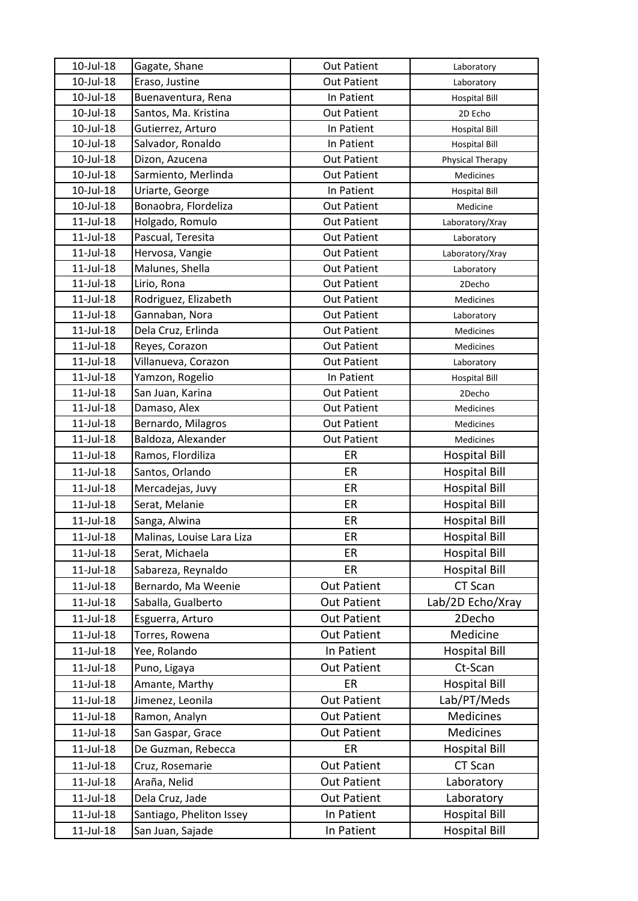| $10$ -Jul- $18$ | Gagate, Shane             | <b>Out Patient</b> | Laboratory           |
|-----------------|---------------------------|--------------------|----------------------|
| 10-Jul-18       | Eraso, Justine            | <b>Out Patient</b> | Laboratory           |
| 10-Jul-18       | Buenaventura, Rena        | In Patient         | <b>Hospital Bill</b> |
| 10-Jul-18       | Santos, Ma. Kristina      | <b>Out Patient</b> | 2D Echo              |
| 10-Jul-18       | Gutierrez, Arturo         | In Patient         | <b>Hospital Bill</b> |
| 10-Jul-18       | Salvador, Ronaldo         | In Patient         | <b>Hospital Bill</b> |
| 10-Jul-18       | Dizon, Azucena            | <b>Out Patient</b> | Physical Therapy     |
| 10-Jul-18       | Sarmiento, Merlinda       | <b>Out Patient</b> | Medicines            |
| 10-Jul-18       | Uriarte, George           | In Patient         | <b>Hospital Bill</b> |
| 10-Jul-18       | Bonaobra, Flordeliza      | <b>Out Patient</b> | Medicine             |
| $11$ -Jul- $18$ | Holgado, Romulo           | <b>Out Patient</b> | Laboratory/Xray      |
| $11$ -Jul- $18$ | Pascual, Teresita         | <b>Out Patient</b> | Laboratory           |
| 11-Jul-18       | Hervosa, Vangie           | <b>Out Patient</b> | Laboratory/Xray      |
| $11$ -Jul- $18$ | Malunes, Shella           | <b>Out Patient</b> | Laboratory           |
| $11$ -Jul- $18$ | Lirio, Rona               | <b>Out Patient</b> | 2Decho               |
| $11$ -Jul- $18$ | Rodriguez, Elizabeth      | <b>Out Patient</b> | Medicines            |
| $11$ -Jul- $18$ | Gannaban, Nora            | <b>Out Patient</b> | Laboratory           |
| $11$ -Jul- $18$ | Dela Cruz, Erlinda        | <b>Out Patient</b> | Medicines            |
| $11$ -Jul- $18$ | Reyes, Corazon            | <b>Out Patient</b> | Medicines            |
| $11$ -Jul- $18$ | Villanueva, Corazon       | <b>Out Patient</b> | Laboratory           |
| $11$ -Jul- $18$ | Yamzon, Rogelio           | In Patient         | <b>Hospital Bill</b> |
| $11$ -Jul- $18$ | San Juan, Karina          | <b>Out Patient</b> | 2Decho               |
| $11$ -Jul- $18$ | Damaso, Alex              | <b>Out Patient</b> | Medicines            |
| $11$ -Jul- $18$ | Bernardo, Milagros        | <b>Out Patient</b> | <b>Medicines</b>     |
| $11$ -Jul- $18$ | Baldoza, Alexander        | <b>Out Patient</b> | Medicines            |
| $11$ -Jul- $18$ | Ramos, Flordiliza         | ER                 | <b>Hospital Bill</b> |
| $11$ -Jul- $18$ | Santos, Orlando           | ER                 | <b>Hospital Bill</b> |
| 11-Jul-18       | Mercadejas, Juvy          | ER                 | <b>Hospital Bill</b> |
| $11$ -Jul- $18$ | Serat, Melanie            | ER                 | <b>Hospital Bill</b> |
| $11$ -Jul- $18$ | Sanga, Alwina             | ER                 | <b>Hospital Bill</b> |
| $11$ -Jul- $18$ | Malinas, Louise Lara Liza | ER                 | <b>Hospital Bill</b> |
| $11$ -Jul- $18$ | Serat, Michaela           | ER                 | <b>Hospital Bill</b> |
| $11$ -Jul- $18$ | Sabareza, Reynaldo        | ER                 | <b>Hospital Bill</b> |
| $11$ -Jul- $18$ | Bernardo, Ma Weenie       | <b>Out Patient</b> | CT Scan              |
| $11$ -Jul- $18$ | Saballa, Gualberto        | <b>Out Patient</b> | Lab/2D Echo/Xray     |
| $11$ -Jul- $18$ | Esguerra, Arturo          | <b>Out Patient</b> | 2Decho               |
| $11$ -Jul- $18$ | Torres, Rowena            | <b>Out Patient</b> | Medicine             |
| 11-Jul-18       | Yee, Rolando              | In Patient         | <b>Hospital Bill</b> |
| $11$ -Jul- $18$ | Puno, Ligaya              | <b>Out Patient</b> | Ct-Scan              |
| 11-Jul-18       | Amante, Marthy            | ER                 | <b>Hospital Bill</b> |
| $11$ -Jul- $18$ | Jimenez, Leonila          | <b>Out Patient</b> | Lab/PT/Meds          |
| 11-Jul-18       | Ramon, Analyn             | <b>Out Patient</b> | Medicines            |
| $11$ -Jul- $18$ | San Gaspar, Grace         | <b>Out Patient</b> | Medicines            |
|                 |                           | ER                 |                      |
| $11$ -Jul- $18$ | De Guzman, Rebecca        |                    | <b>Hospital Bill</b> |
| $11$ -Jul- $18$ | Cruz, Rosemarie           | <b>Out Patient</b> | CT Scan              |
| $11$ -Jul- $18$ | Araña, Nelid              | <b>Out Patient</b> | Laboratory           |
| $11$ -Jul- $18$ | Dela Cruz, Jade           | <b>Out Patient</b> | Laboratory           |
| $11$ -Jul- $18$ | Santiago, Pheliton Issey  | In Patient         | <b>Hospital Bill</b> |
| 11-Jul-18       | San Juan, Sajade          | In Patient         | <b>Hospital Bill</b> |